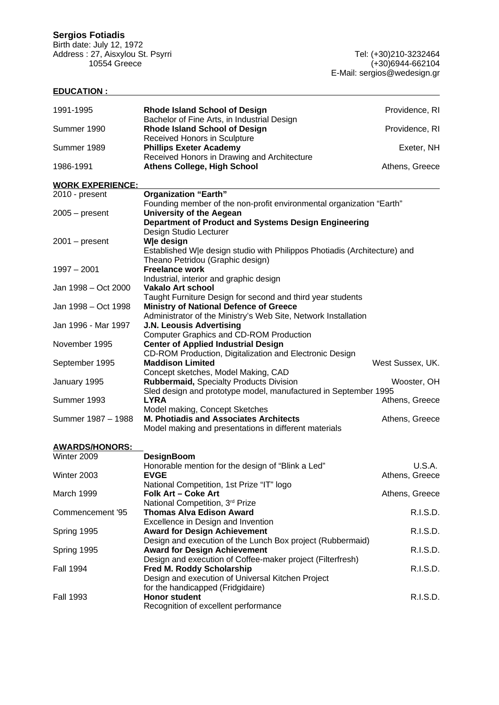# **Sergios Fotiadis**

Birth date: July 12, 1972 Address : 27, Aisxylou St. Psyrri Tel: (+30)210-3232464

## **EDUCATION :**

| 1991-1995               | <b>Rhode Island School of Design</b>                                                                                                                            | Providence, RI   |
|-------------------------|-----------------------------------------------------------------------------------------------------------------------------------------------------------------|------------------|
| Summer 1990             | Bachelor of Fine Arts, in Industrial Design<br>Rhode Island School of Design<br>Received Honors in Sculpture                                                    | Providence, RI   |
| Summer 1989             | <b>Phillips Exeter Academy</b><br>Received Honors in Drawing and Architecture                                                                                   | Exeter, NH       |
| 1986-1991               | <b>Athens College, High School</b>                                                                                                                              | Athens, Greece   |
| <b>WORK EXPERIENCE:</b> |                                                                                                                                                                 |                  |
| 2010 - present          | <b>Organization "Earth"</b>                                                                                                                                     |                  |
| $2005 - present$        | Founding member of the non-profit environmental organization "Earth"<br><b>University of the Aegean</b><br>Department of Product and Systems Design Engineering |                  |
| $2001 - present$        | Design Studio Lecturer<br>We design<br>Established W e design studio with Philippos Photiadis (Architecture) and                                                |                  |
| $1997 - 2001$           | Theano Petridou (Graphic design)<br><b>Freelance work</b><br>Industrial, interior and graphic design                                                            |                  |
| Jan 1998 – Oct 2000     | <b>Vakalo Art school</b>                                                                                                                                        |                  |
|                         | Taught Furniture Design for second and third year students                                                                                                      |                  |
| Jan 1998 – Oct 1998     | <b>Ministry of National Defence of Greece</b>                                                                                                                   |                  |
| Jan 1996 - Mar 1997     | Administrator of the Ministry's Web Site, Network Installation<br>J.N. Leousis Advertising<br><b>Computer Graphics and CD-ROM Production</b>                    |                  |
| November 1995           | <b>Center of Applied Industrial Design</b><br>CD-ROM Production, Digitalization and Electronic Design                                                           |                  |
| September 1995          | <b>Maddison Limited</b><br>Concept sketches, Model Making, CAD                                                                                                  | West Sussex, UK. |
| January 1995            | Rubbermaid, Specialty Products Division<br>Sled design and prototype model, manufactured in September 1995                                                      | Wooster, OH      |
| Summer 1993             | <b>LYRA</b>                                                                                                                                                     | Athens, Greece   |
|                         | Model making, Concept Sketches                                                                                                                                  |                  |
| Summer 1987 - 1988      | <b>M. Photiadis and Associates Architects</b><br>Model making and presentations in different materials                                                          | Athens, Greece   |
| <b>AWARDS/HONORS:</b>   |                                                                                                                                                                 |                  |
| Winter 2009             | <b>DesignBoom</b>                                                                                                                                               |                  |
|                         | Honorable mention for the design of "Blink a Led"                                                                                                               | U.S.A.           |
| Winter 2003             | <b>EVGE</b>                                                                                                                                                     | Athens, Greece   |
| March 1999              | National Competition, 1st Prize "IT" logo<br>Folk Art - Coke Art                                                                                                | Athens, Greece   |
|                         | National Competition, 3rd Prize                                                                                                                                 |                  |
| Commencement '95        | <b>Thomas Alva Edison Award</b><br>Excellence in Design and Invention                                                                                           | R.I.S.D.         |
| Spring 1995             | <b>Award for Design Achievement</b><br>Design and execution of the Lunch Box project (Rubbermaid)                                                               | R.I.S.D.         |
| Spring 1995             | <b>Award for Design Achievement</b>                                                                                                                             | R.I.S.D.         |
| <b>Fall 1994</b>        | Design and execution of Coffee-maker project (Filterfresh)<br>Fred M. Roddy Scholarship<br>Design and execution of Universal Kitchen Project                    | R.I.S.D.         |
| <b>Fall 1993</b>        | for the handicapped (Fridgidaire)<br><b>Honor student</b><br>Recognition of excellent performance                                                               | R.I.S.D.         |